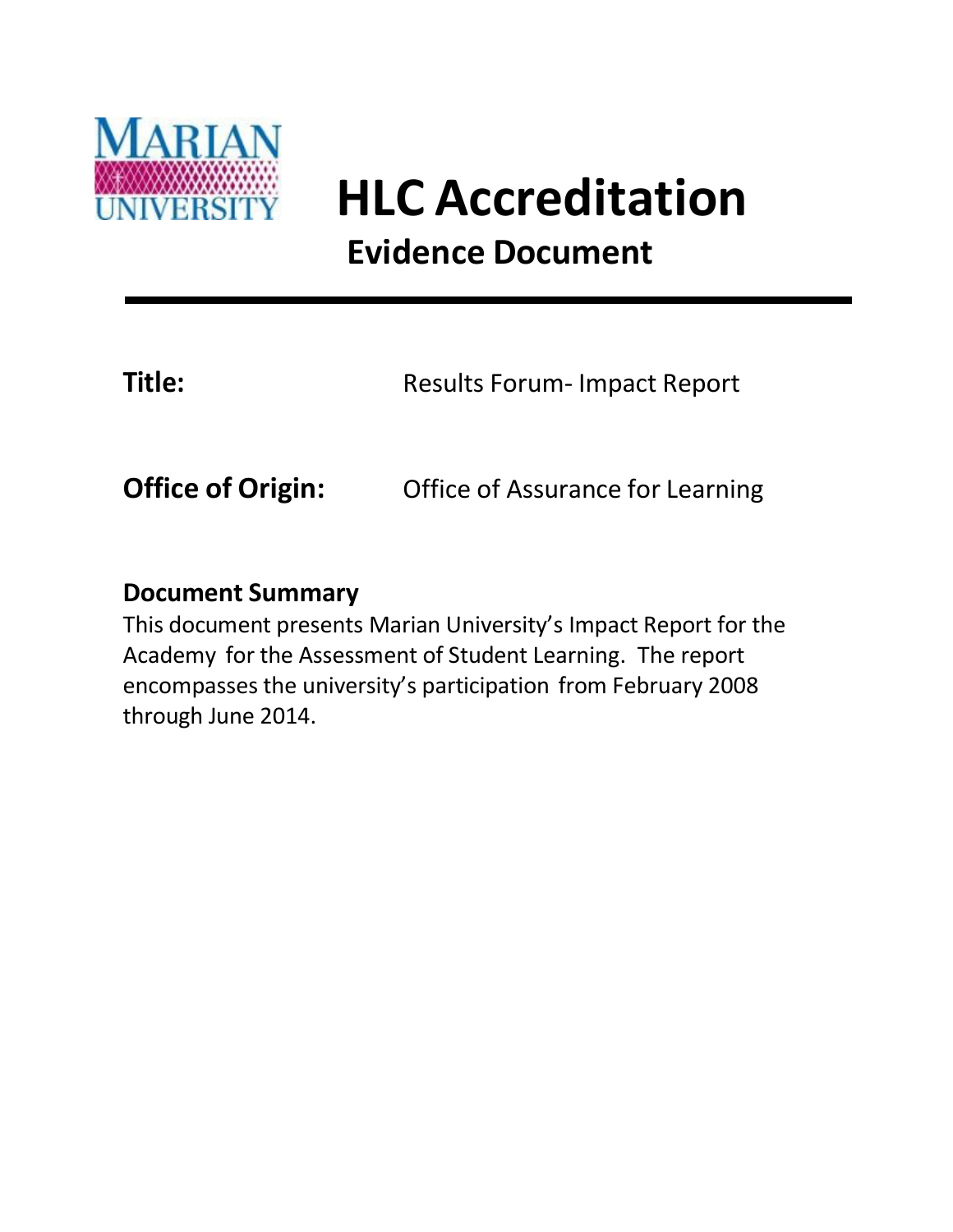

## **HLC Accreditation Evidence Document**

**Title:** Results Forum- Impact Report

**Office of Origin:** Office of Assurance for Learning

#### **Document Summary**

This document presents Marian University's Impact Report for the Academy for the Assessment of Student Learning. The report encompasses the university's participation from February 2008 through June 2014.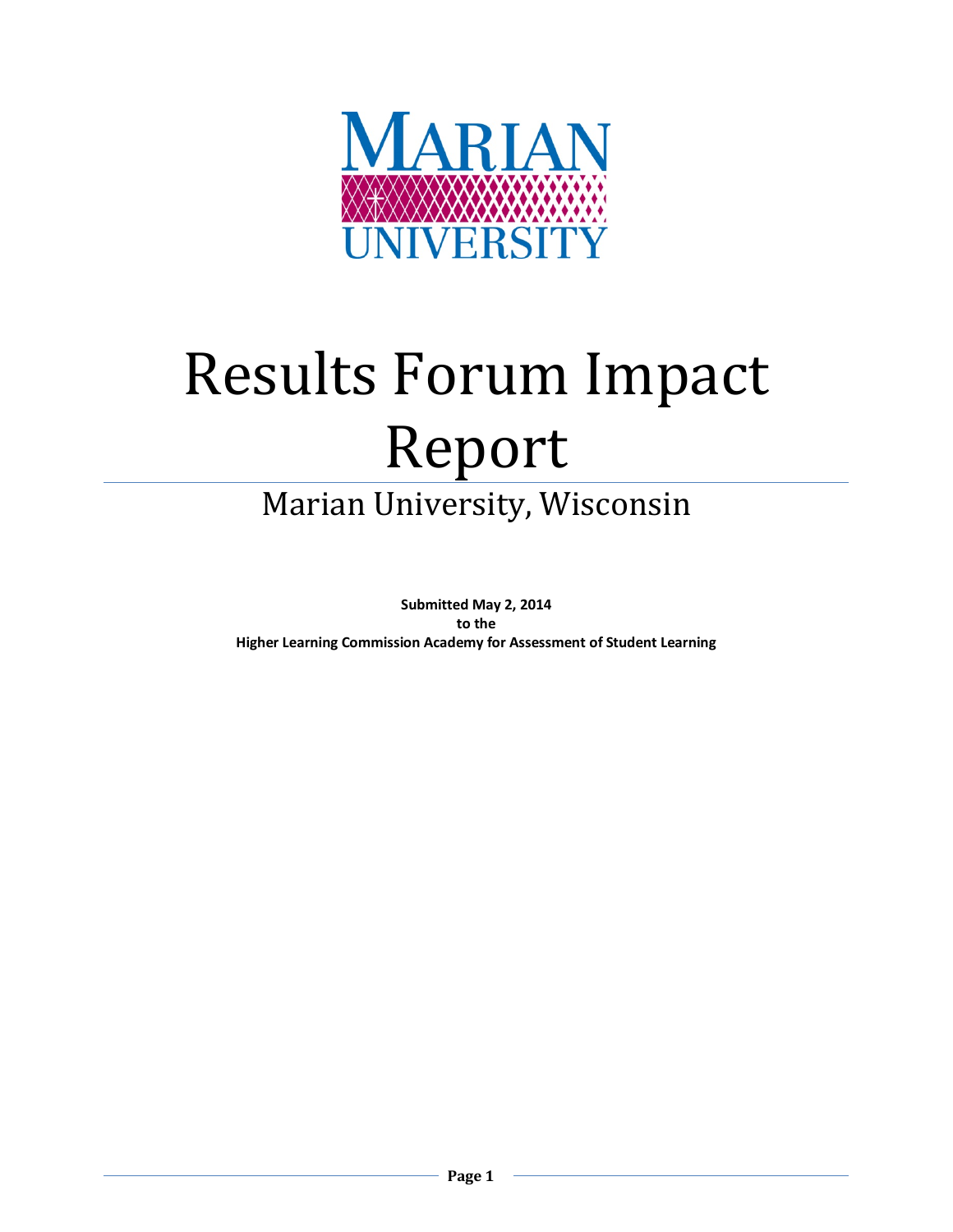

# Results Forum Impact Report

### Marian University, Wisconsin

**Submitted May 2, 2014 to the Higher Learning Commission Academy for Assessment of Student Learning**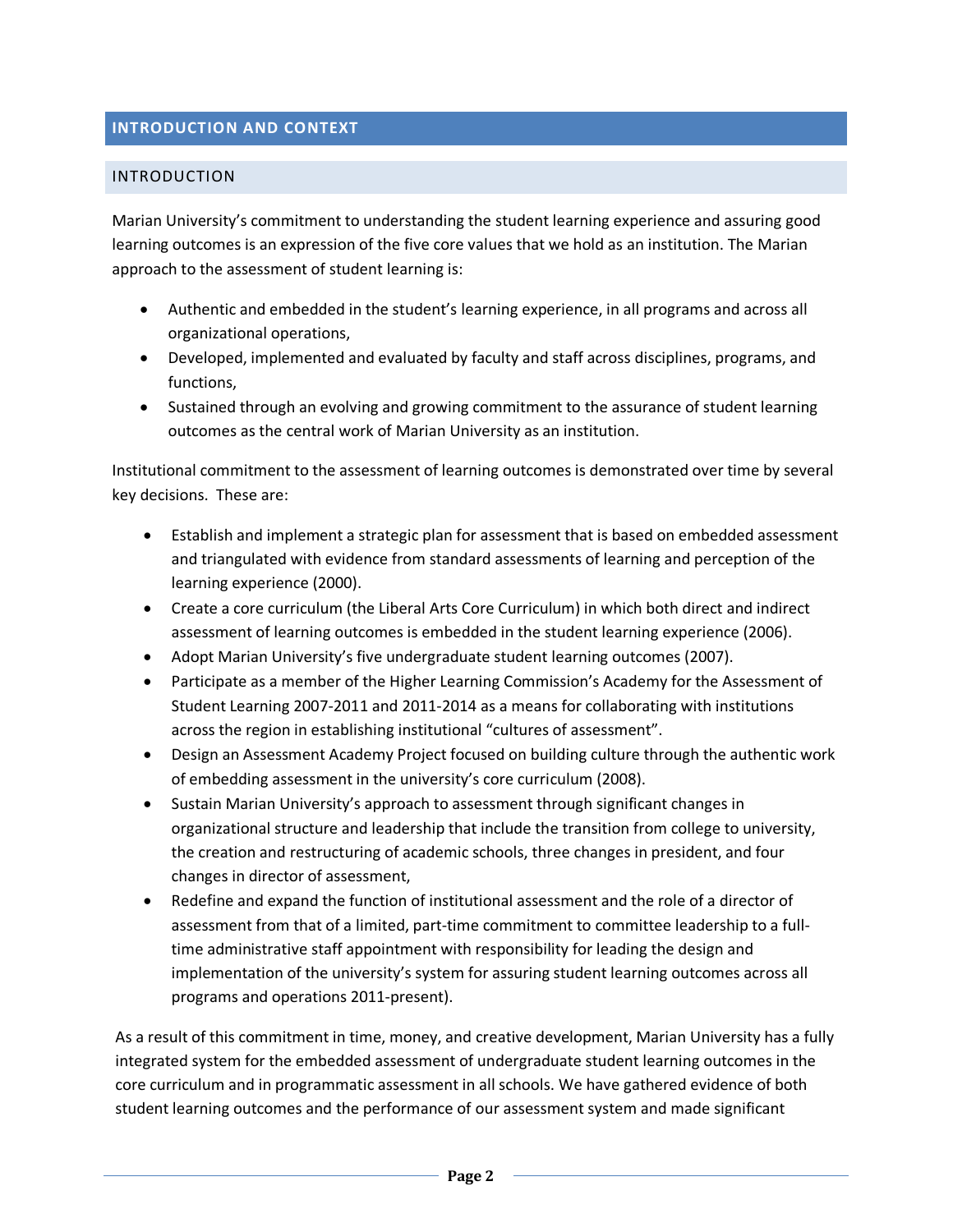#### **INTRODUCTION AND CONTEXT**

#### INTRODUCTION

Marian University's commitment to understanding the student learning experience and assuring good learning outcomes is an expression of the five core values that we hold as an institution. The Marian approach to the assessment of student learning is:

- Authentic and embedded in the student's learning experience, in all programs and across all organizational operations,
- Developed, implemented and evaluated by faculty and staff across disciplines, programs, and functions,
- Sustained through an evolving and growing commitment to the assurance of student learning outcomes as the central work of Marian University as an institution.

Institutional commitment to the assessment of learning outcomes is demonstrated over time by several key decisions. These are:

- Establish and implement a strategic plan for assessment that is based on embedded assessment and triangulated with evidence from standard assessments of learning and perception of the learning experience (2000).
- Create a core curriculum (the Liberal Arts Core Curriculum) in which both direct and indirect assessment of learning outcomes is embedded in the student learning experience (2006).
- Adopt Marian University's five undergraduate student learning outcomes (2007).
- Participate as a member of the Higher Learning Commission's Academy for the Assessment of Student Learning 2007-2011 and 2011-2014 as a means for collaborating with institutions across the region in establishing institutional "cultures of assessment".
- Design an Assessment Academy Project focused on building culture through the authentic work of embedding assessment in the university's core curriculum (2008).
- Sustain Marian University's approach to assessment through significant changes in organizational structure and leadership that include the transition from college to university, the creation and restructuring of academic schools, three changes in president, and four changes in director of assessment,
- Redefine and expand the function of institutional assessment and the role of a director of assessment from that of a limited, part-time commitment to committee leadership to a fulltime administrative staff appointment with responsibility for leading the design and implementation of the university's system for assuring student learning outcomes across all programs and operations 2011-present).

As a result of this commitment in time, money, and creative development, Marian University has a fully integrated system for the embedded assessment of undergraduate student learning outcomes in the core curriculum and in programmatic assessment in all schools. We have gathered evidence of both student learning outcomes and the performance of our assessment system and made significant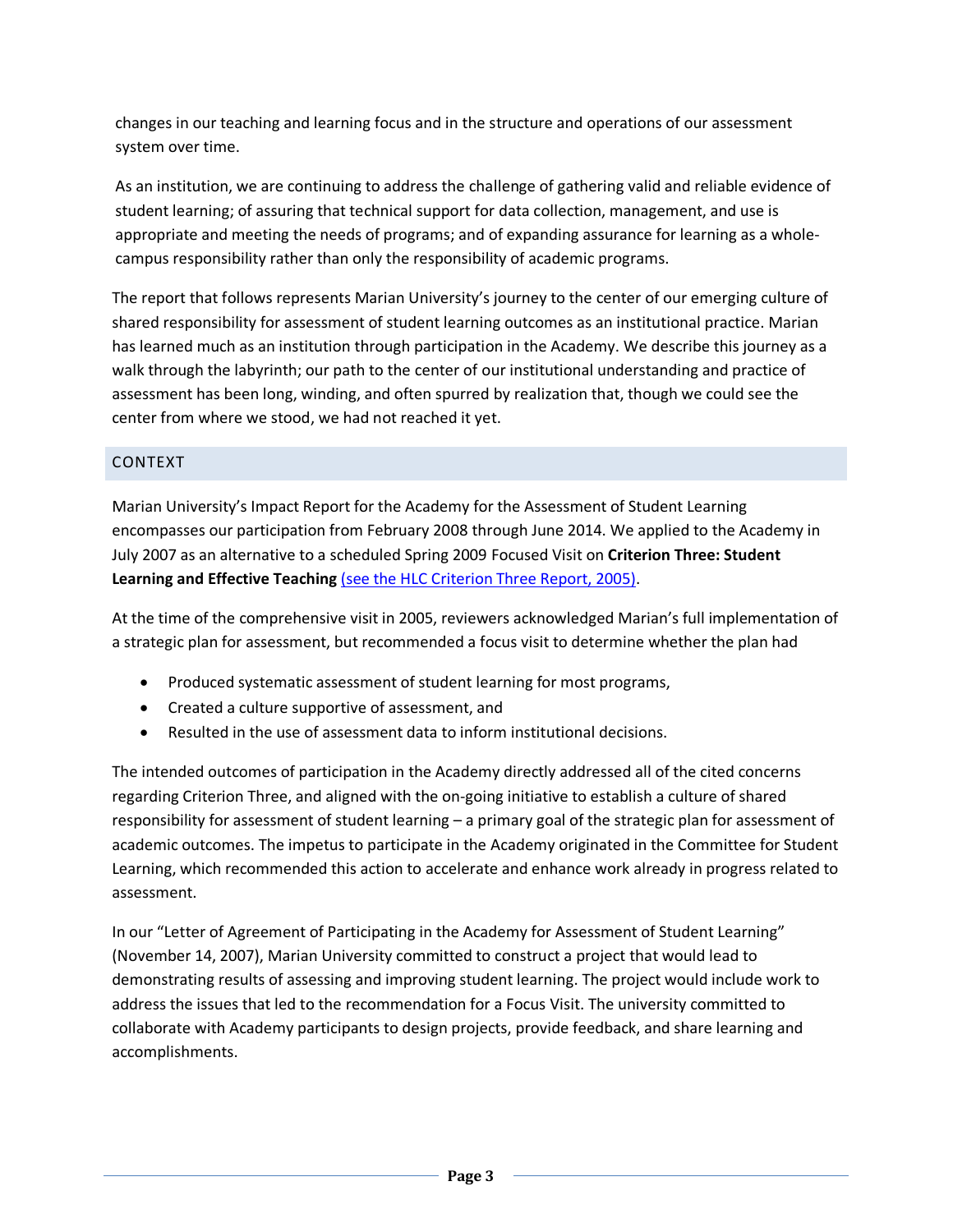changes in our teaching and learning focus and in the structure and operations of our assessment system over time.

As an institution, we are continuing to address the challenge of gathering valid and reliable evidence of student learning; of assuring that technical support for data collection, management, and use is appropriate and meeting the needs of programs; and of expanding assurance for learning as a wholecampus responsibility rather than only the responsibility of academic programs.

The report that follows represents Marian University's journey to the center of our emerging culture of shared responsibility for assessment of student learning outcomes as an institutional practice. Marian has learned much as an institution through participation in the Academy. We describe this journey as a walk through the labyrinth; our path to the center of our institutional understanding and practice of assessment has been long, winding, and often spurred by realization that, though we could see the center from where we stood, we had not reached it yet.

#### CONTEXT

Marian University's Impact Report for the Academy for the Assessment of Student Learning encompasses our participation from February 2008 through June 2014. We applied to the Academy in July 2007 as an alternative to a scheduled Spring 2009 Focused Visit on **Criterion Three: Student Learning and Effective Teaching** [\(see the HLC Criterion Three Report, 2005\).](http://tinyurl.com/HLC3rpt2005)

At the time of the comprehensive visit in 2005, reviewers acknowledged Marian's full implementation of a strategic plan for assessment, but recommended a focus visit to determine whether the plan had

- Produced systematic assessment of student learning for most programs,
- Created a culture supportive of assessment, and
- Resulted in the use of assessment data to inform institutional decisions.

The intended outcomes of participation in the Academy directly addressed all of the cited concerns regarding Criterion Three, and aligned with the on-going initiative to establish a culture of shared responsibility for assessment of student learning – a primary goal of the strategic plan for assessment of academic outcomes. The impetus to participate in the Academy originated in the Committee for Student Learning, which recommended this action to accelerate and enhance work already in progress related to assessment.

In our "Letter of Agreement of Participating in the Academy for Assessment of Student Learning" (November 14, 2007), Marian University committed to construct a project that would lead to demonstrating results of assessing and improving student learning. The project would include work to address the issues that led to the recommendation for a Focus Visit. The university committed to collaborate with Academy participants to design projects, provide feedback, and share learning and accomplishments.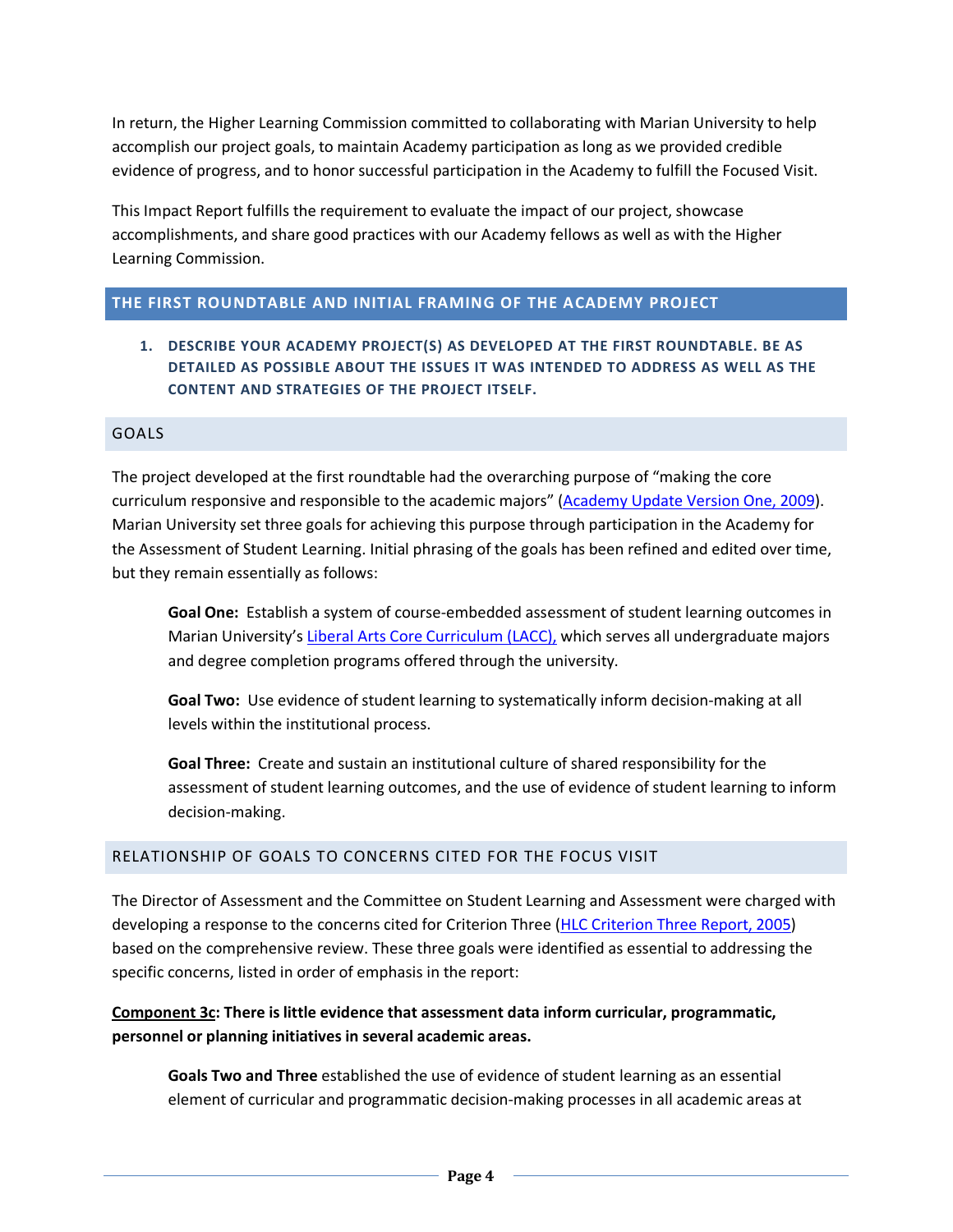In return, the Higher Learning Commission committed to collaborating with Marian University to help accomplish our project goals, to maintain Academy participation as long as we provided credible evidence of progress, and to honor successful participation in the Academy to fulfill the Focused Visit.

This Impact Report fulfills the requirement to evaluate the impact of our project, showcase accomplishments, and share good practices with our Academy fellows as well as with the Higher Learning Commission.

#### **THE FIRST ROUNDTABLE AND INITIAL FRAMING OF THE ACADEMY PROJECT**

**1. DESCRIBE YOUR ACADEMY PROJECT(S) AS DEVELOPED AT THE FIRST ROUNDTABLE. BE AS DETAILED AS POSSIBLE ABOUT THE ISSUES IT WAS INTENDED TO ADDRESS AS WELL AS THE CONTENT AND STRATEGIES OF THE PROJECT ITSELF.**

#### GOALS

The project developed at the first roundtable had the overarching purpose of "making the core curriculum responsive and responsible to the academic majors" [\(Academy Update Version One, 2009\)](http://tinyurl.com/AAUpdateV1). Marian University set three goals for achieving this purpose through participation in the Academy for the Assessment of Student Learning. Initial phrasing of the goals has been refined and edited over time, but they remain essentially as follows:

**Goal One:** Establish a system of course-embedded assessment of student learning outcomes in Marian University's [Liberal Arts Core Curriculum](https://my.marianuniversity.edu/OfficesAndServices/registrar/Program%20Sheets/Common%20Core/LACC_2013-2014.pdf) (LACC), which serves all undergraduate majors and degree completion programs offered through the university.

**Goal Two:** Use evidence of student learning to systematically inform decision-making at all levels within the institutional process.

**Goal Three:** Create and sustain an institutional culture of shared responsibility for the assessment of student learning outcomes, and the use of evidence of student learning to inform decision-making.

#### RELATIONSHIP OF GOALS TO CONCERNS CITED FOR THE FOCUS VISIT

The Director of Assessment and the Committee on Student Learning and Assessment were charged with developing a response to the concerns cited for Criterion Three [\(HLC Criterion Three Report,](http://tinyurl.com/HLC3rpt2005) 2005) based on the comprehensive review. These three goals were identified as essential to addressing the specific concerns, listed in order of emphasis in the report:

#### **Component 3c: There is little evidence that assessment data inform curricular, programmatic, personnel or planning initiatives in several academic areas.**

**Goals Two and Three** established the use of evidence of student learning as an essential element of curricular and programmatic decision-making processes in all academic areas at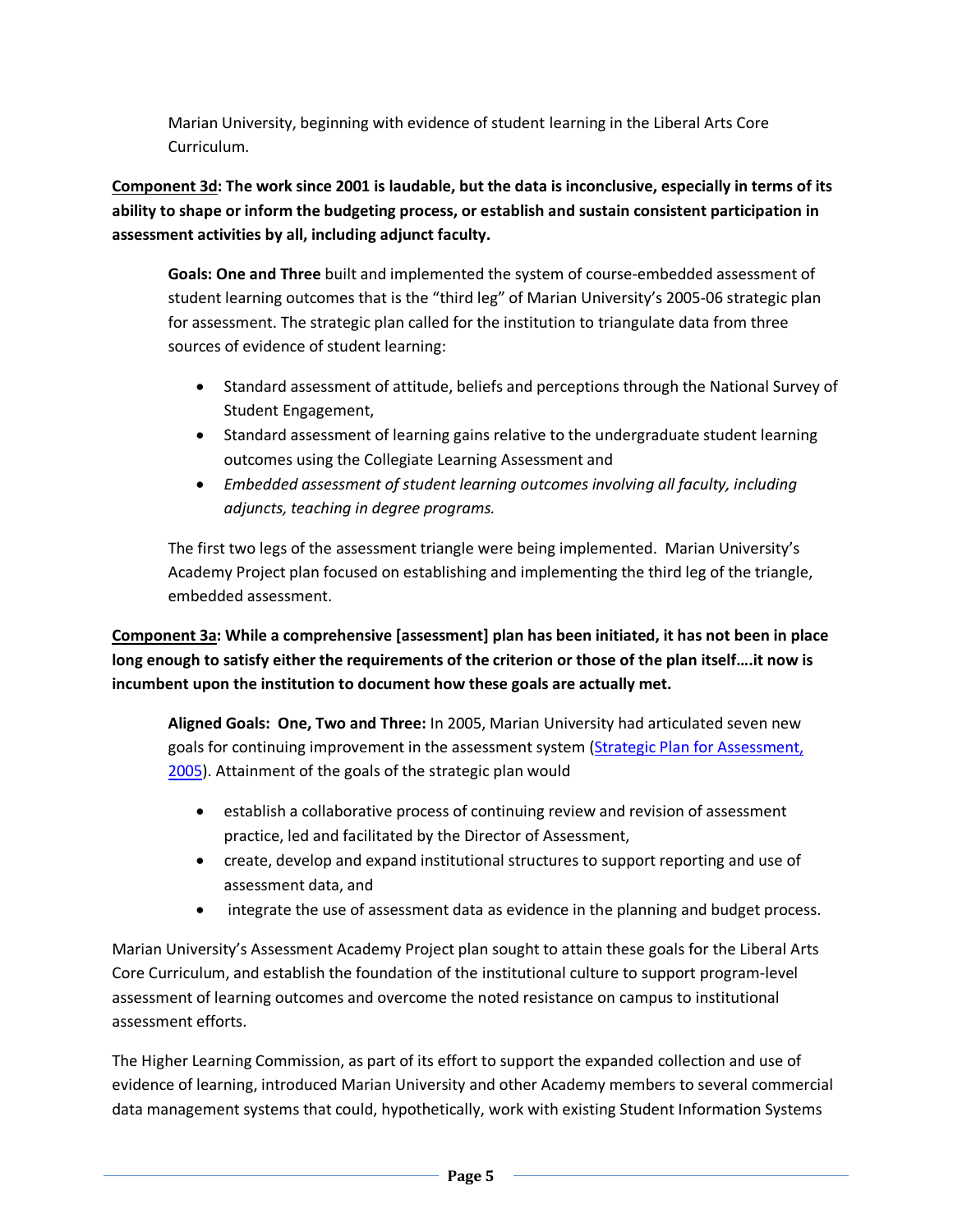Marian University, beginning with evidence of student learning in the Liberal Arts Core Curriculum.

**Component 3d: The work since 2001 is laudable, but the data is inconclusive, especially in terms of its ability to shape or inform the budgeting process, or establish and sustain consistent participation in assessment activities by all, including adjunct faculty.**

**Goals: One and Three** built and implemented the system of course-embedded assessment of student learning outcomes that is the "third leg" of Marian University's 2005-06 strategic plan for assessment. The strategic plan called for the institution to triangulate data from three sources of evidence of student learning:

- Standard assessment of attitude, beliefs and perceptions through the National Survey of Student Engagement,
- Standard assessment of learning gains relative to the undergraduate student learning outcomes using the Collegiate Learning Assessment and
- *Embedded assessment of student learning outcomes involving all faculty, including adjuncts, teaching in degree programs.*

The first two legs of the assessment triangle were being implemented. Marian University's Academy Project plan focused on establishing and implementing the third leg of the triangle, embedded assessment.

**Component 3a: While a comprehensive [assessment] plan has been initiated, it has not been in place long enough to satisfy either the requirements of the criterion or those of the plan itself….it now is incumbent upon the institution to document how these goals are actually met.**

**Aligned Goals: One, Two and Three:** In 2005, Marian University had articulated seven new goals for continuing improvement in the assessment system [\(Strategic Plan for Assessment,](http://tinyurl.com/SplanAssmt05)  [2005\)](http://tinyurl.com/SplanAssmt05). Attainment of the goals of the strategic plan would

- establish a collaborative process of continuing review and revision of assessment practice, led and facilitated by the Director of Assessment,
- create, develop and expand institutional structures to support reporting and use of assessment data, and
- integrate the use of assessment data as evidence in the planning and budget process.

Marian University's Assessment Academy Project plan sought to attain these goals for the Liberal Arts Core Curriculum, and establish the foundation of the institutional culture to support program-level assessment of learning outcomes and overcome the noted resistance on campus to institutional assessment efforts.

The Higher Learning Commission, as part of its effort to support the expanded collection and use of evidence of learning, introduced Marian University and other Academy members to several commercial data management systems that could, hypothetically, work with existing Student Information Systems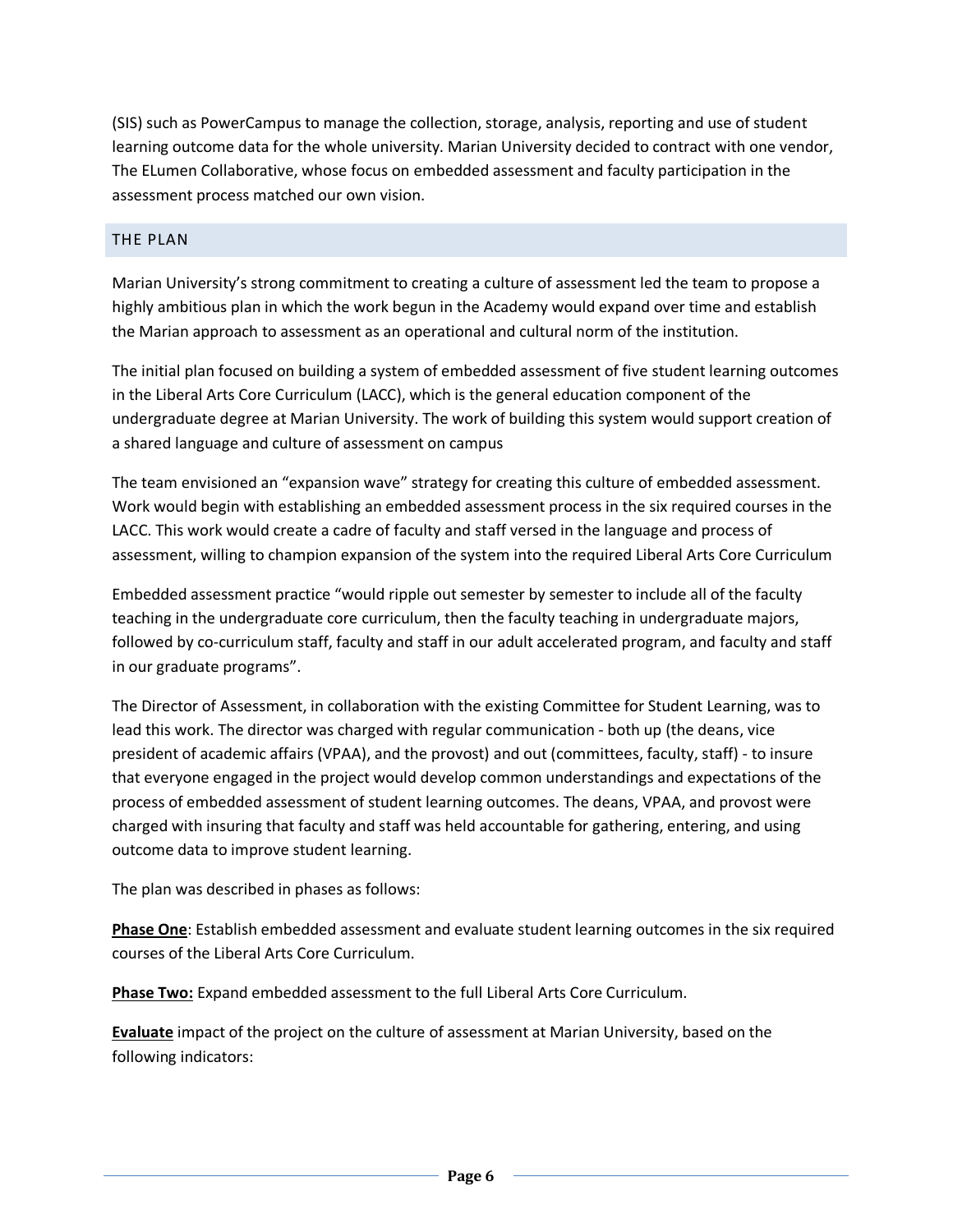(SIS) such as PowerCampus to manage the collection, storage, analysis, reporting and use of student learning outcome data for the whole university. Marian University decided to contract with one vendor, The ELumen Collaborative, whose focus on embedded assessment and faculty participation in the assessment process matched our own vision.

#### THE PLAN

Marian University's strong commitment to creating a culture of assessment led the team to propose a highly ambitious plan in which the work begun in the Academy would expand over time and establish the Marian approach to assessment as an operational and cultural norm of the institution.

The initial plan focused on building a system of embedded assessment of five student learning outcomes in the Liberal Arts Core Curriculum (LACC), which is the general education component of the undergraduate degree at Marian University. The work of building this system would support creation of a shared language and culture of assessment on campus

The team envisioned an "expansion wave" strategy for creating this culture of embedded assessment. Work would begin with establishing an embedded assessment process in the six required courses in the LACC. This work would create a cadre of faculty and staff versed in the language and process of assessment, willing to champion expansion of the system into the required Liberal Arts Core Curriculum

Embedded assessment practice "would ripple out semester by semester to include all of the faculty teaching in the undergraduate core curriculum, then the faculty teaching in undergraduate majors, followed by co-curriculum staff, faculty and staff in our adult accelerated program, and faculty and staff in our graduate programs".

The Director of Assessment, in collaboration with the existing Committee for Student Learning, was to lead this work. The director was charged with regular communication - both up (the deans, vice president of academic affairs (VPAA), and the provost) and out (committees, faculty, staff) - to insure that everyone engaged in the project would develop common understandings and expectations of the process of embedded assessment of student learning outcomes. The deans, VPAA, and provost were charged with insuring that faculty and staff was held accountable for gathering, entering, and using outcome data to improve student learning.

The plan was described in phases as follows:

**Phase One**: Establish embedded assessment and evaluate student learning outcomes in the six required courses of the Liberal Arts Core Curriculum.

**Phase Two:** Expand embedded assessment to the full Liberal Arts Core Curriculum.

**Evaluate** impact of the project on the culture of assessment at Marian University, based on the following indicators: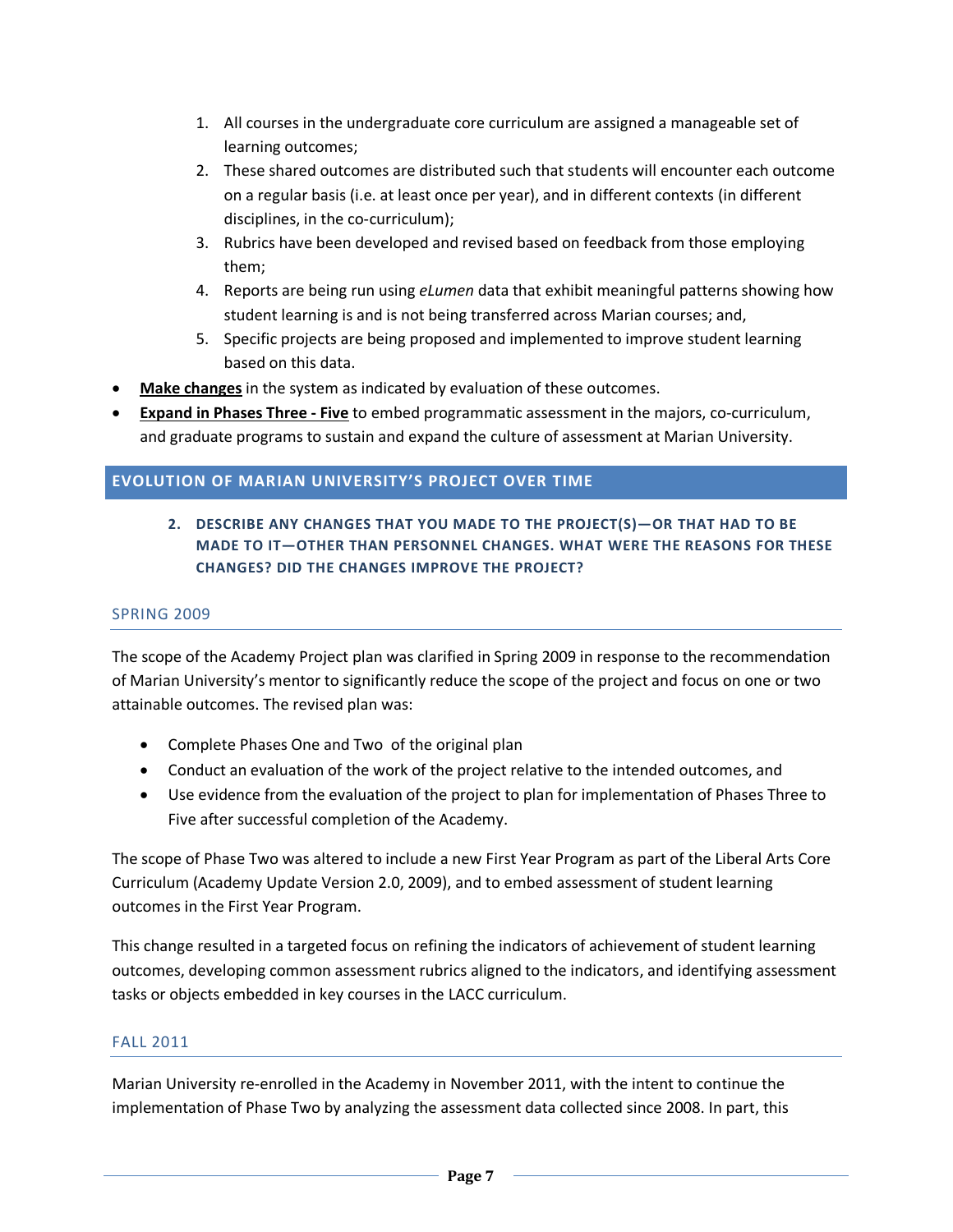- 1. All courses in the undergraduate core curriculum are assigned a manageable set of learning outcomes;
- 2. These shared outcomes are distributed such that students will encounter each outcome on a regular basis (i.e. at least once per year), and in different contexts (in different disciplines, in the co-curriculum);
- 3. Rubrics have been developed and revised based on feedback from those employing them;
- 4. Reports are being run using *eLumen* data that exhibit meaningful patterns showing how student learning is and is not being transferred across Marian courses; and,
- 5. Specific projects are being proposed and implemented to improve student learning based on this data.
- **Make changes** in the system as indicated by evaluation of these outcomes.
- **Expand in Phases Three - Five** to embed programmatic assessment in the majors, co-curriculum, and graduate programs to sustain and expand the culture of assessment at Marian University.

#### **EVOLUTION OF MARIAN UNIVERSITY'S PROJECT OVER TIME**

**2. DESCRIBE ANY CHANGES THAT YOU MADE TO THE PROJECT(S)—OR THAT HAD TO BE MADE TO IT—OTHER THAN PERSONNEL CHANGES. WHAT WERE THE REASONS FOR THESE CHANGES? DID THE CHANGES IMPROVE THE PROJECT?**

#### SPRING 2009

The scope of the Academy Project plan was clarified in Spring 2009 in response to the recommendation of Marian University's mentor to significantly reduce the scope of the project and focus on one or two attainable outcomes. The revised plan was:

- Complete Phases One and Two of the original plan
- Conduct an evaluation of the work of the project relative to the intended outcomes, and
- Use evidence from the evaluation of the project to plan for implementation of Phases Three to Five after successful completion of the Academy.

The scope of Phase Two was altered to include a new First Year Program as part of the Liberal Arts Core Curriculum (Academy Update Version 2.0, 2009), and to embed assessment of student learning outcomes in the First Year Program.

This change resulted in a targeted focus on refining the indicators of achievement of student learning outcomes, developing common assessment rubrics aligned to the indicators, and identifying assessment tasks or objects embedded in key courses in the LACC curriculum.

#### FALL 2011

Marian University re-enrolled in the Academy in November 2011, with the intent to continue the implementation of Phase Two by analyzing the assessment data collected since 2008. In part, this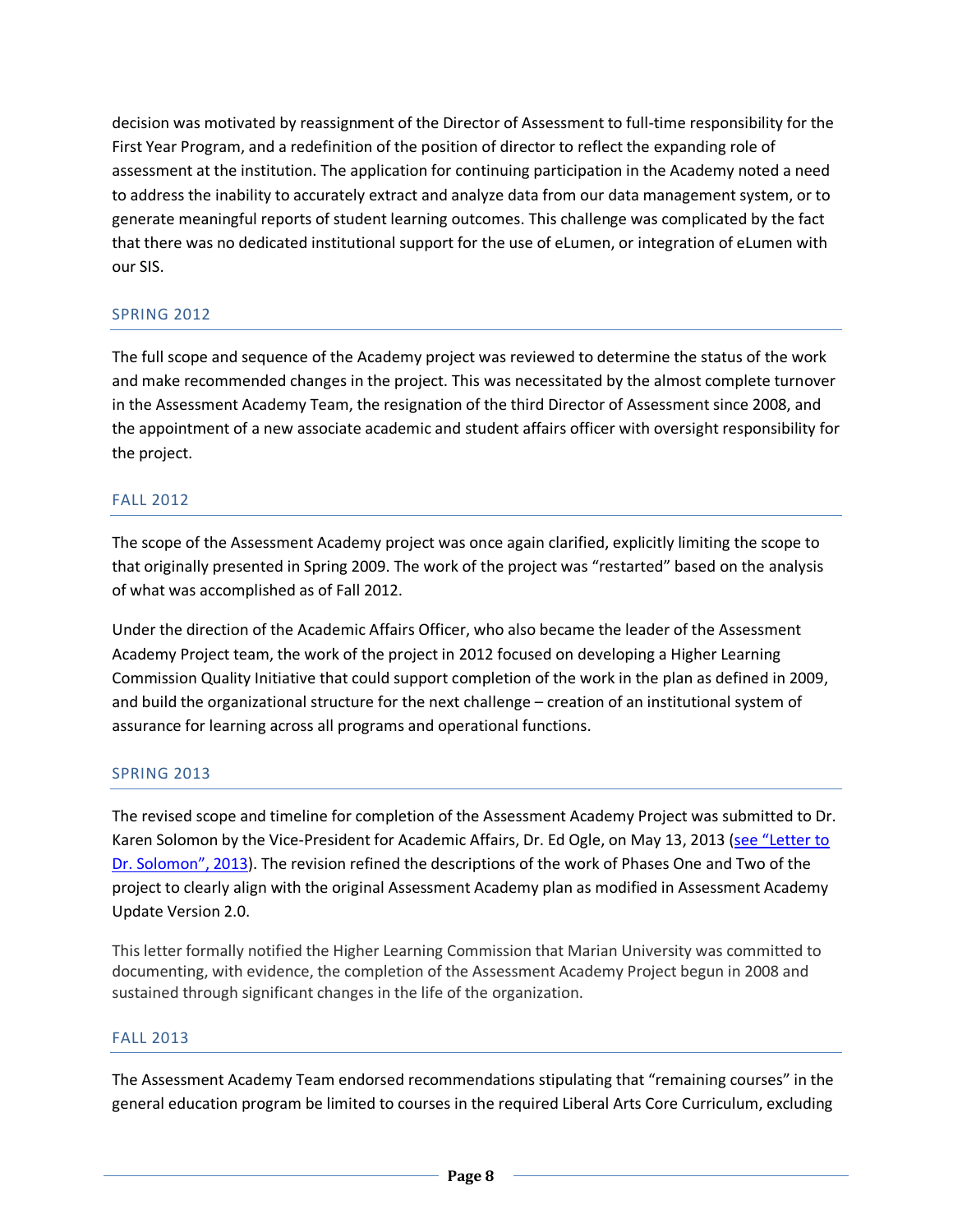decision was motivated by reassignment of the Director of Assessment to full-time responsibility for the First Year Program, and a redefinition of the position of director to reflect the expanding role of assessment at the institution. The application for continuing participation in the Academy noted a need to address the inability to accurately extract and analyze data from our data management system, or to generate meaningful reports of student learning outcomes. This challenge was complicated by the fact that there was no dedicated institutional support for the use of eLumen, or integration of eLumen with our SIS.

#### SPRING 2012

The full scope and sequence of the Academy project was reviewed to determine the status of the work and make recommended changes in the project. This was necessitated by the almost complete turnover in the Assessment Academy Team, the resignation of the third Director of Assessment since 2008, and the appointment of a new associate academic and student affairs officer with oversight responsibility for the project.

#### FALL 2012

The scope of the Assessment Academy project was once again clarified, explicitly limiting the scope to that originally presented in Spring 2009. The work of the project was "restarted" based on the analysis of what was accomplished as of Fall 2012.

Under the direction of the Academic Affairs Officer, who also became the leader of the Assessment Academy Project team, the work of the project in 2012 focused on developing a Higher Learning Commission Quality Initiative that could support completion of the work in the plan as defined in 2009, and build the organizational structure for the next challenge – creation of an institutional system of assurance for learning across all programs and operational functions.

#### SPRING 2013

The revised scope and timeline for completion of the Assessment Academy Project was submitted to Dr. Karen Solomon by the Vice-President for Academic Affairs, Dr. Ed Ogle, on May 13, 2013 [\(see "Letter to](http://tinyurl.com/OgleKSLetter2013)  [Dr. Solomon", 2013\)](http://tinyurl.com/OgleKSLetter2013). The revision refined the descriptions of the work of Phases One and Two of the project to clearly align with the original Assessment Academy plan as modified in Assessment Academy Update Version 2.0.

This letter formally notified the Higher Learning Commission that Marian University was committed to documenting, with evidence, the completion of the Assessment Academy Project begun in 2008 and sustained through significant changes in the life of the organization.

#### FALL 2013

The Assessment Academy Team endorsed recommendations stipulating that "remaining courses" in the general education program be limited to courses in the required Liberal Arts Core Curriculum, excluding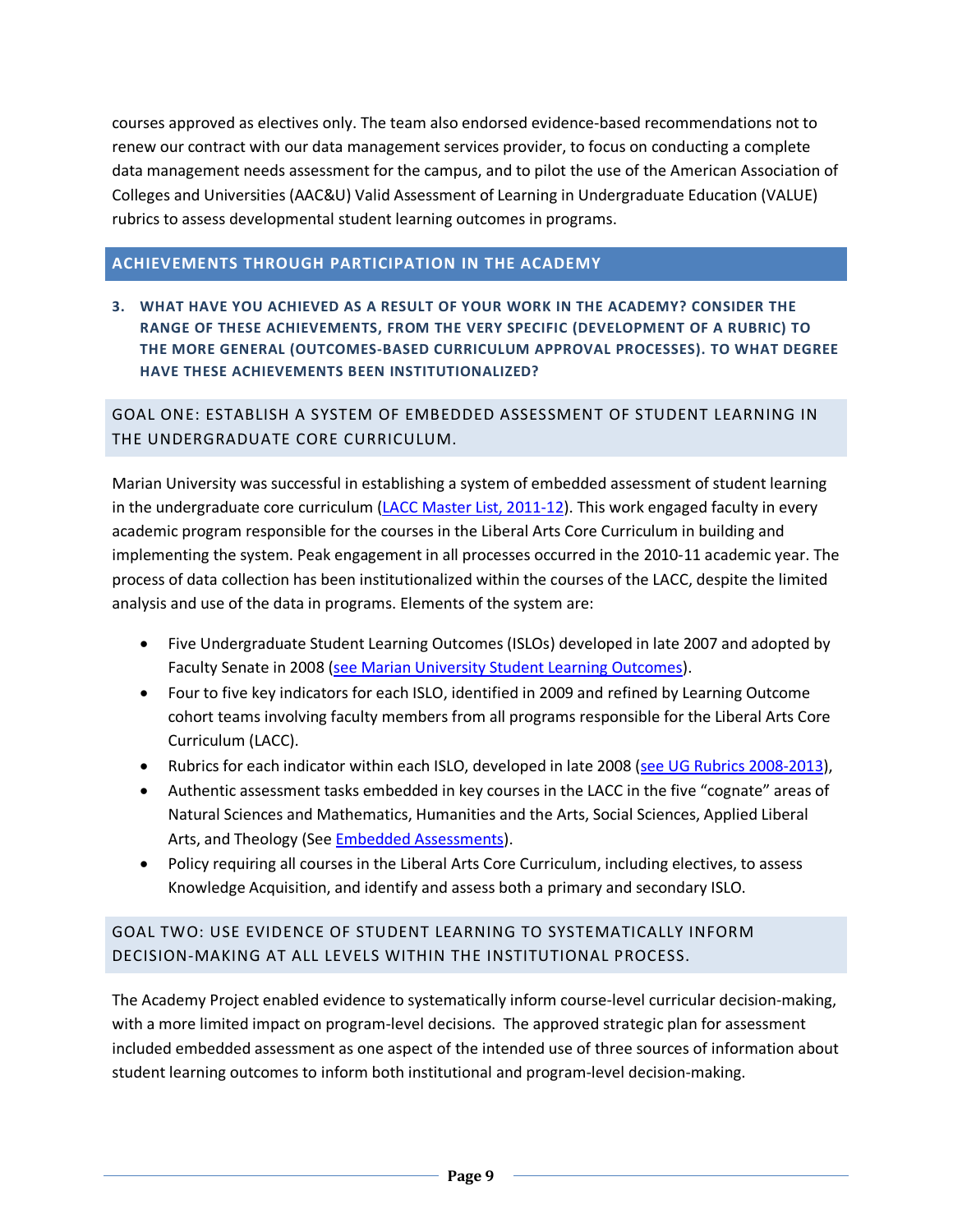courses approved as electives only. The team also endorsed evidence-based recommendations not to renew our contract with our data management services provider, to focus on conducting a complete data management needs assessment for the campus, and to pilot the use of the American Association of Colleges and Universities (AAC&U) Valid Assessment of Learning in Undergraduate Education (VALUE) rubrics to assess developmental student learning outcomes in programs.

#### **ACHIEVEMENTS THROUGH PARTICIPATION IN THE ACADEMY**

**3. WHAT HAVE YOU ACHIEVED AS A RESULT OF YOUR WORK IN THE ACADEMY? CONSIDER THE RANGE OF THESE ACHIEVEMENTS, FROM THE VERY SPECIFIC (DEVELOPMENT OF A RUBRIC) TO THE MORE GENERAL (OUTCOMES-BASED CURRICULUM APPROVAL PROCESSES). TO WHAT DEGREE HAVE THESE ACHIEVEMENTS BEEN INSTITUTIONALIZED?**

GOAL ONE: ESTABLISH A SYSTEM OF EMBEDDED ASSESSMENT OF STUDENT LEARNING IN THE UNDERGRADUATE CORE CURRICULUM.

Marian University was successful in establishing a system of embedded assessment of student learning in the undergraduate core curriculum [\(LACC Master List, 2011-12\)](http://tinyurl.com/LACCMaster11-12). This work engaged faculty in every academic program responsible for the courses in the Liberal Arts Core Curriculum in building and implementing the system. Peak engagement in all processes occurred in the 2010-11 academic year. The process of data collection has been institutionalized within the courses of the LACC, despite the limited analysis and use of the data in programs. Elements of the system are:

- Five Undergraduate Student Learning Outcomes (ISLOs) developed in late 2007 and adopted by Faculty Senate in 2008 [\(see Marian University Student Learning Outcomes\)](http://tinyurl.com/MUSLO13).
- Four to five key indicators for each ISLO, identified in 2009 and refined by Learning Outcome cohort teams involving faculty members from all programs responsible for the Liberal Arts Core Curriculum (LACC).
- Rubrics for each indicator within each ISLO, developed in late 2008 [\(see UG Rubrics 2008-2013\)](http://tinyurl.com/RubricAA13),
- Authentic assessment tasks embedded in key courses in the LACC in the five "cognate" areas of Natural Sciences and Mathematics, Humanities and the Arts, Social Sciences, Applied Liberal Arts, and Theology (See **Embedded Assessments**).
- Policy requiring all courses in the Liberal Arts Core Curriculum, including electives, to assess Knowledge Acquisition, and identify and assess both a primary and secondary ISLO.

#### GOAL TWO: USE EVIDENCE OF STUDENT LEARNING TO SYSTEMATICALLY INFORM DECISION-MAKING AT ALL LEVELS WITHIN THE INSTITUTIONAL PROCESS.

The Academy Project enabled evidence to systematically inform course-level curricular decision-making, with a more limited impact on program-level decisions. The approved strategic plan for assessment included embedded assessment as one aspect of the intended use of three sources of information about student learning outcomes to inform both institutional and program-level decision-making.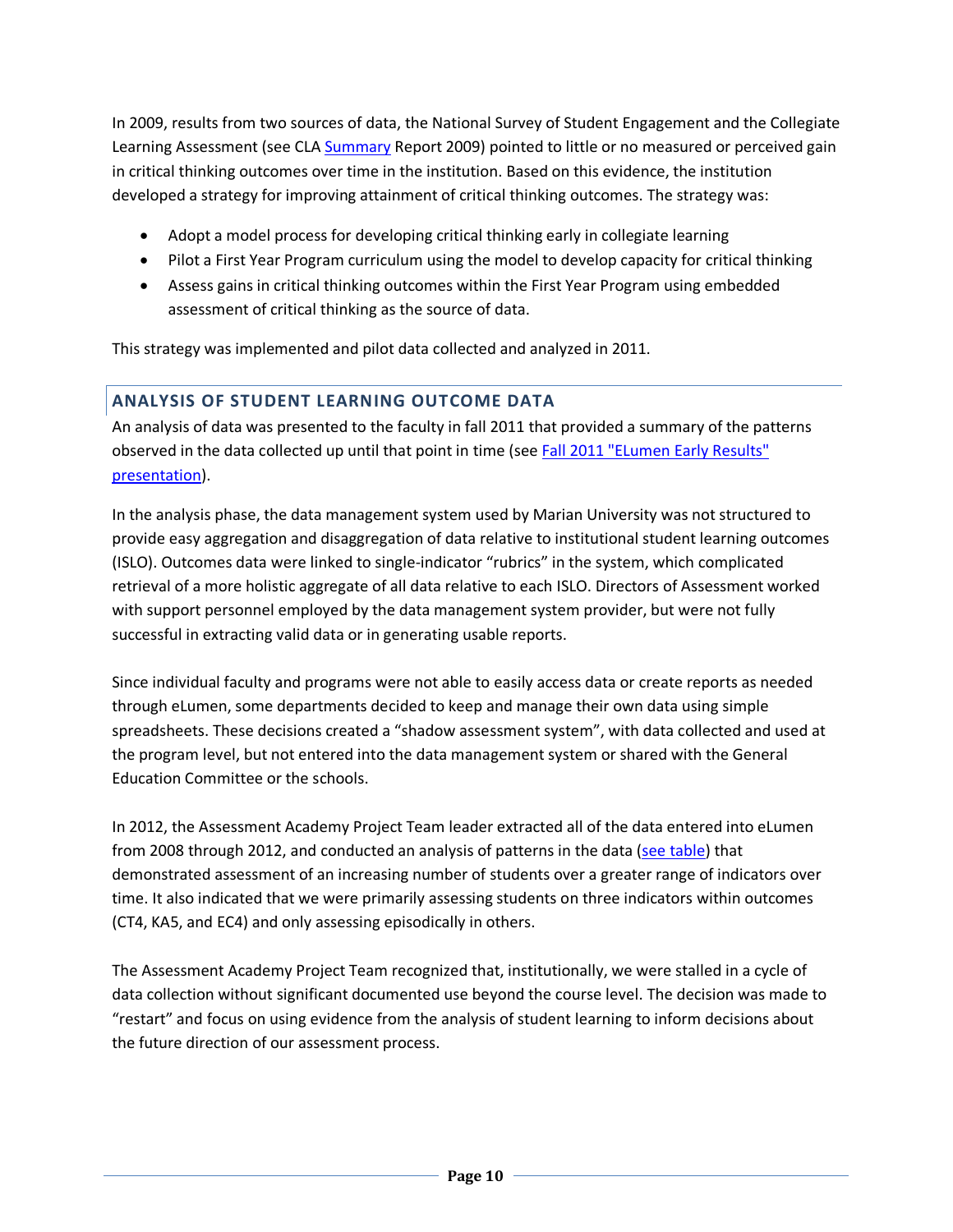In 2009, results from two sources of data, the National Survey of Student Engagement and the Collegiate Learning Assessment (see CL[A Summary](http://tinyurl.com/CLA0809) Report 2009) pointed to little or no measured or perceived gain in critical thinking outcomes over time in the institution. Based on this evidence, the institution developed a strategy for improving attainment of critical thinking outcomes. The strategy was:

- Adopt a model process for developing critical thinking early in collegiate learning
- Pilot a First Year Program curriculum using the model to develop capacity for critical thinking
- Assess gains in critical thinking outcomes within the First Year Program using embedded assessment of critical thinking as the source of data.

This strategy was implemented and pilot data collected and analyzed in 2011.

#### **ANALYSIS OF STUDENT LEARNING OUTCOME DATA**

An analysis of data was presented to the faculty in fall 2011 that provided a summary of the patterns observed in the data collected up until that point in time (see Fall 2011 "ELumen Early Results" [presentation\)](http://preview.tinyurl.com/ELPrezi).

In the analysis phase, the data management system used by Marian University was not structured to provide easy aggregation and disaggregation of data relative to institutional student learning outcomes (ISLO). Outcomes data were linked to single-indicator "rubrics" in the system, which complicated retrieval of a more holistic aggregate of all data relative to each ISLO. Directors of Assessment worked with support personnel employed by the data management system provider, but were not fully successful in extracting valid data or in generating usable reports.

Since individual faculty and programs were not able to easily access data or create reports as needed through eLumen, some departments decided to keep and manage their own data using simple spreadsheets. These decisions created a "shadow assessment system", with data collected and used at the program level, but not entered into the data management system or shared with the General Education Committee or the schools.

In 2012, the Assessment Academy Project Team leader extracted all of the data entered into eLumen from 2008 through 2012, and conducted an analysis of patterns in the data [\(see table\)](http://tinyurl.com/TableSLOTerm) that demonstrated assessment of an increasing number of students over a greater range of indicators over time. It also indicated that we were primarily assessing students on three indicators within outcomes (CT4, KA5, and EC4) and only assessing episodically in others.

The Assessment Academy Project Team recognized that, institutionally, we were stalled in a cycle of data collection without significant documented use beyond the course level. The decision was made to "restart" and focus on using evidence from the analysis of student learning to inform decisions about the future direction of our assessment process.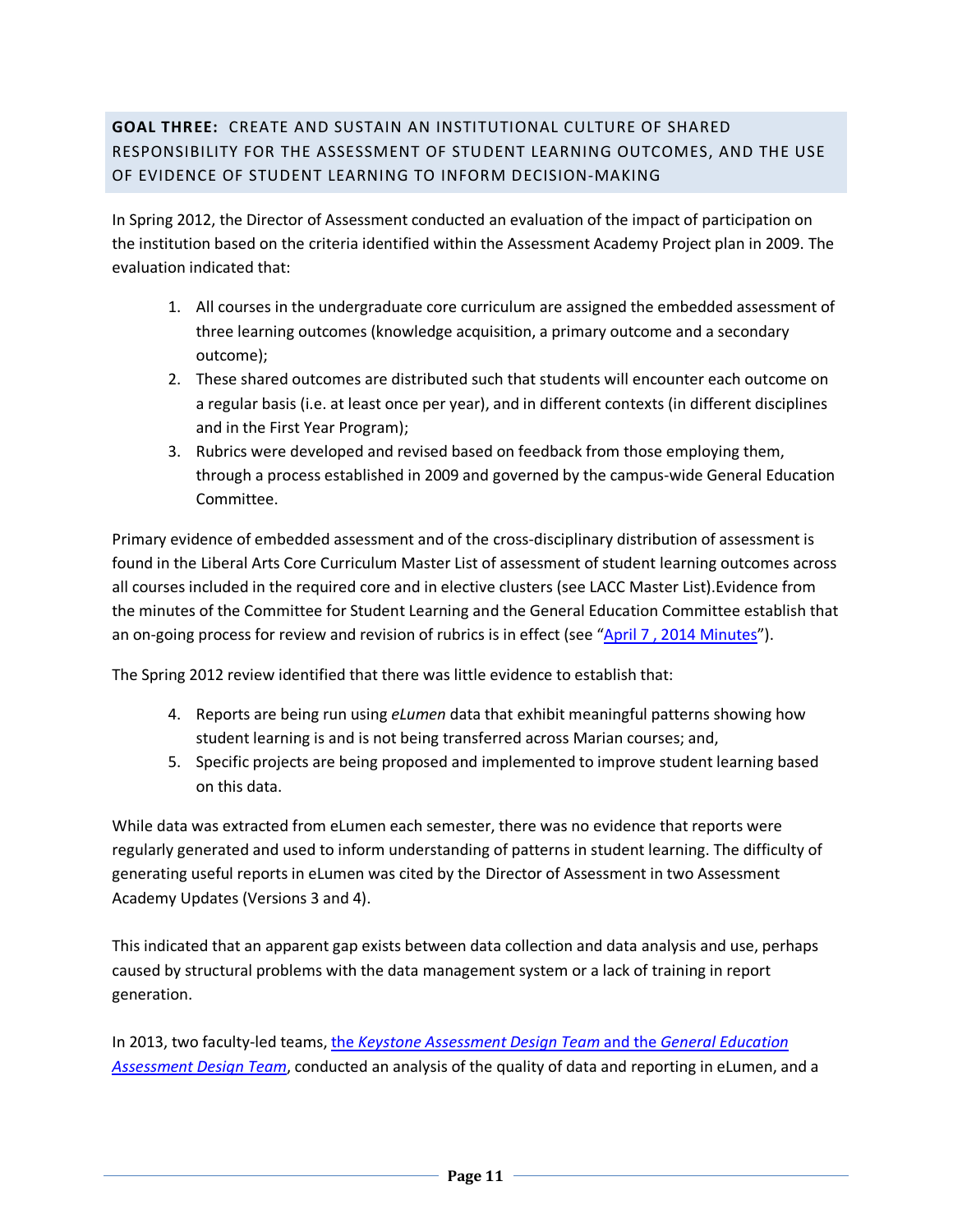#### **GOAL THREE:** CREATE AND SUSTAIN AN INSTITUTIONAL CULTURE OF SHARED RESPONSIBILITY FOR THE ASSESSMENT OF STUDENT LEARNING OUTCOMES, AND THE USE OF EVIDENCE OF STUDENT LEARNING TO INFORM DECISION-MAKING

In Spring 2012, the Director of Assessment conducted an evaluation of the impact of participation on the institution based on the criteria identified within the Assessment Academy Project plan in 2009. The evaluation indicated that:

- 1. All courses in the undergraduate core curriculum are assigned the embedded assessment of three learning outcomes (knowledge acquisition, a primary outcome and a secondary outcome);
- 2. These shared outcomes are distributed such that students will encounter each outcome on a regular basis (i.e. at least once per year), and in different contexts (in different disciplines and in the First Year Program);
- 3. Rubrics were developed and revised based on feedback from those employing them, through a process established in 2009 and governed by the campus-wide General Education Committee.

Primary evidence of embedded assessment and of the cross-disciplinary distribution of assessment is found in the Liberal Arts Core Curriculum Master List of assessment of student learning outcomes across all courses included in the required core and in elective clusters (see LACC Master List).Evidence from the minutes of the Committee for Student Learning and the General Education Committee establish that an on-going process for review and revision of rubrics is in effect (see "April 7, 2014 Minutes").

The Spring 2012 review identified that there was little evidence to establish that:

- 4. Reports are being run using *eLumen* data that exhibit meaningful patterns showing how student learning is and is not being transferred across Marian courses; and,
- 5. Specific projects are being proposed and implemented to improve student learning based on this data.

While data was extracted from eLumen each semester, there was no evidence that reports were regularly generated and used to inform understanding of patterns in student learning. The difficulty of generating useful reports in eLumen was cited by the Director of Assessment in two Assessment Academy Updates (Versions 3 and 4).

This indicated that an apparent gap exists between data collection and data analysis and use, perhaps caused by structural problems with the data management system or a lack of training in report generation.

In 2013, two faculty-led teams, the *[Keystone Assessment Design Team](http://tinyurl.com/AALogic)* and the *General Education [Assessment Design Team](http://tinyurl.com/AALogic)*, conducted an analysis of the quality of data and reporting in eLumen, and a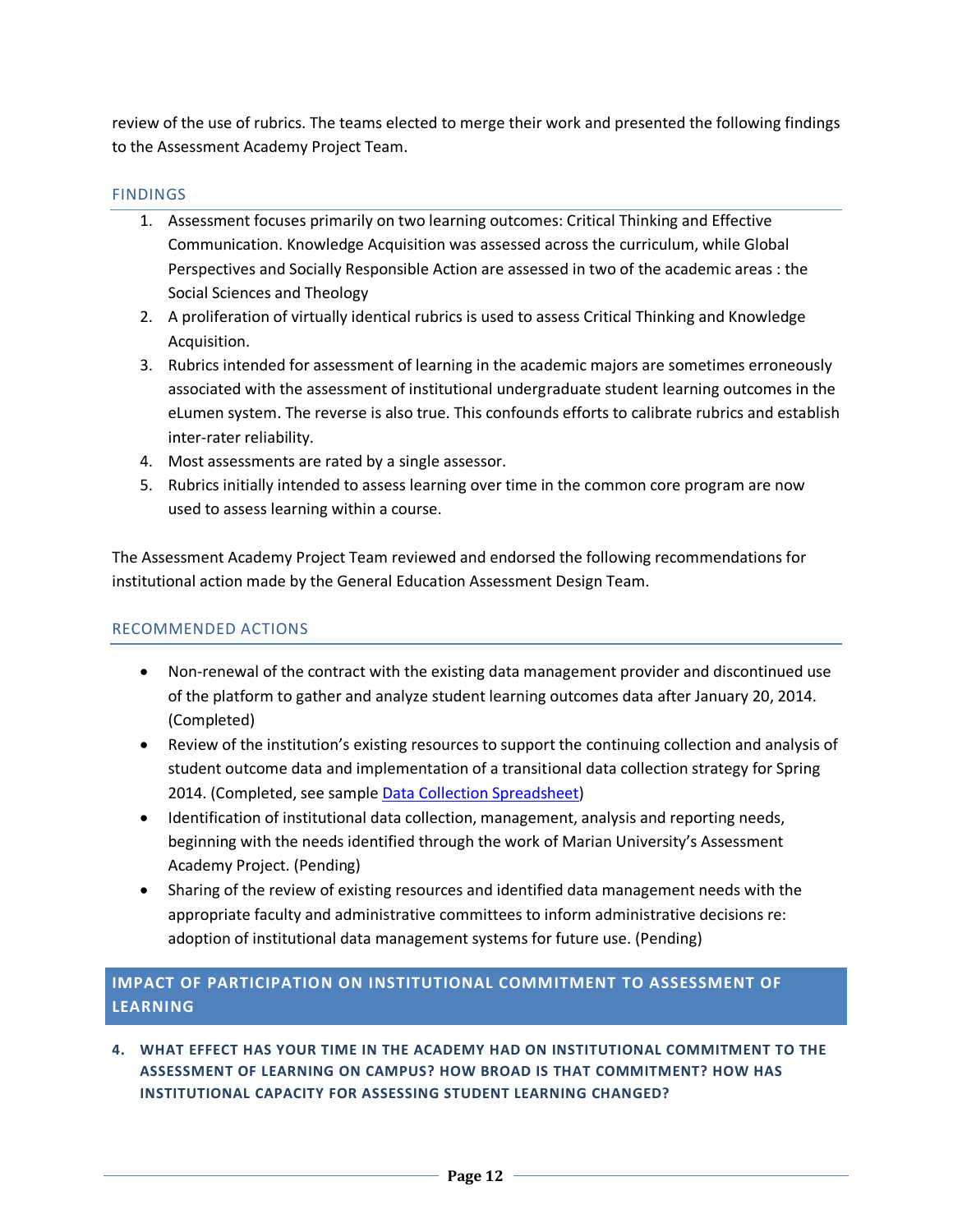review of the use of rubrics. The teams elected to merge their work and presented the following findings to the Assessment Academy Project Team.

#### **FINDINGS**

- 1. Assessment focuses primarily on two learning outcomes: Critical Thinking and Effective Communication. Knowledge Acquisition was assessed across the curriculum, while Global Perspectives and Socially Responsible Action are assessed in two of the academic areas : the Social Sciences and Theology
- 2. A proliferation of virtually identical rubrics is used to assess Critical Thinking and Knowledge Acquisition.
- 3. Rubrics intended for assessment of learning in the academic majors are sometimes erroneously associated with the assessment of institutional undergraduate student learning outcomes in the eLumen system. The reverse is also true. This confounds efforts to calibrate rubrics and establish inter-rater reliability.
- 4. Most assessments are rated by a single assessor.
- 5. Rubrics initially intended to assess learning over time in the common core program are now used to assess learning within a course.

The Assessment Academy Project Team reviewed and endorsed the following recommendations for institutional action made by the General Education Assessment Design Team.

#### RECOMMENDED ACTIONS

- Non-renewal of the contract with the existing data management provider and discontinued use of the platform to gather and analyze student learning outcomes data after January 20, 2014. (Completed)
- Review of the institution's existing resources to support the continuing collection and analysis of student outcome data and implementation of a transitional data collection strategy for Spring 2014. (Completed, see sampl[e Data Collection Spreadsheet\)](http://tinyurl.com/DCTemplate13)
- Identification of institutional data collection, management, analysis and reporting needs, beginning with the needs identified through the work of Marian University's Assessment Academy Project. (Pending)
- Sharing of the review of existing resources and identified data management needs with the appropriate faculty and administrative committees to inform administrative decisions re: adoption of institutional data management systems for future use. (Pending)

#### **IMPACT OF PARTICIPATION ON INSTITUTIONAL COMMITMENT TO ASSESSMENT OF LEARNING**

**4. WHAT EFFECT HAS YOUR TIME IN THE ACADEMY HAD ON INSTITUTIONAL COMMITMENT TO THE ASSESSMENT OF LEARNING ON CAMPUS? HOW BROAD IS THAT COMMITMENT? HOW HAS INSTITUTIONAL CAPACITY FOR ASSESSING STUDENT LEARNING CHANGED?**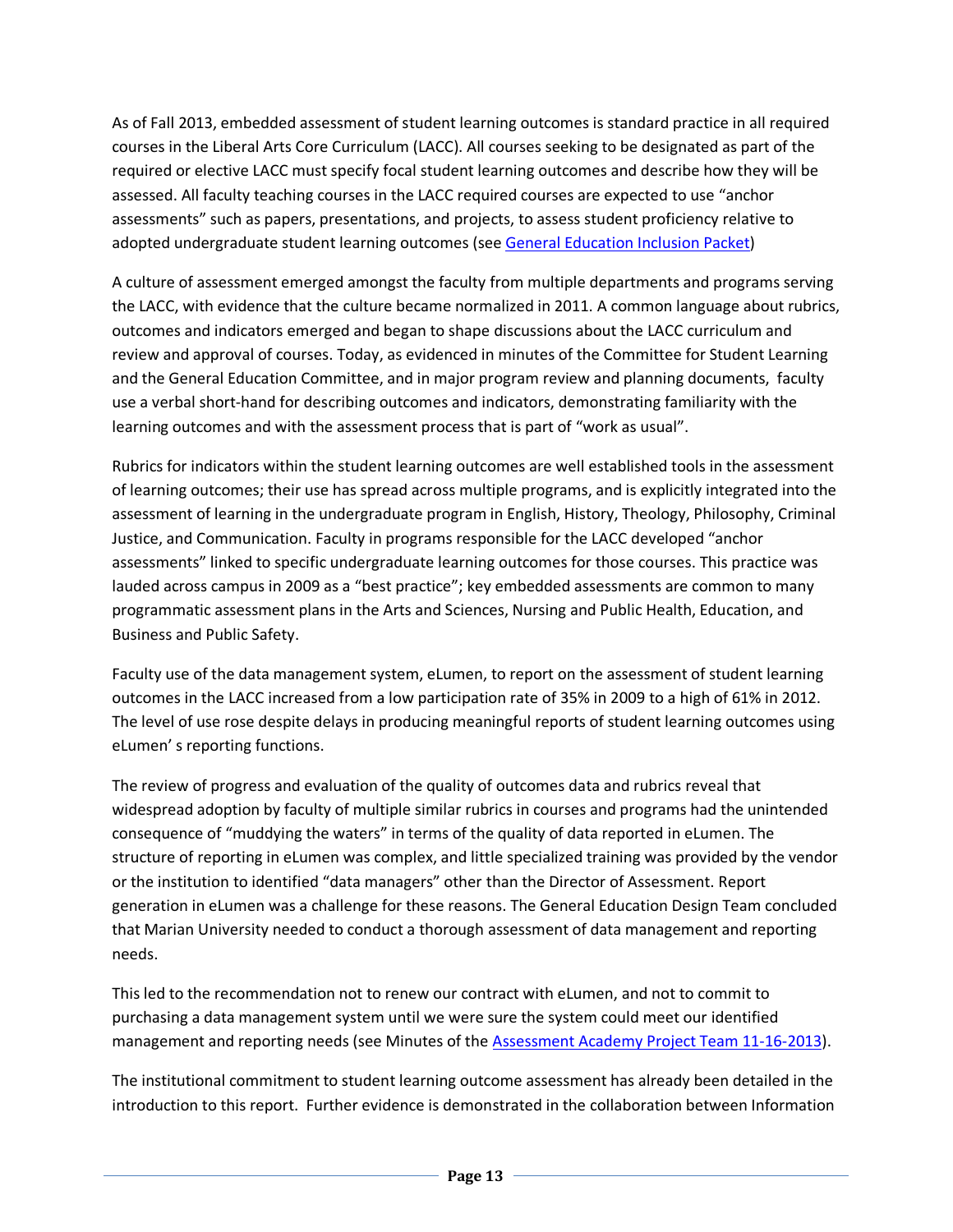As of Fall 2013, embedded assessment of student learning outcomes is standard practice in all required courses in the Liberal Arts Core Curriculum (LACC). All courses seeking to be designated as part of the required or elective LACC must specify focal student learning outcomes and describe how they will be assessed. All faculty teaching courses in the LACC required courses are expected to use "anchor assessments" such as papers, presentations, and projects, to assess student proficiency relative to adopted undergraduate student learning outcomes (see [General Education Inclusion Packet\)](http://tinyurl.com/LACCCPPacket)

A culture of assessment emerged amongst the faculty from multiple departments and programs serving the LACC, with evidence that the culture became normalized in 2011. A common language about rubrics, outcomes and indicators emerged and began to shape discussions about the LACC curriculum and review and approval of courses. Today, as evidenced in minutes of the Committee for Student Learning and the General Education Committee, and in major program review and planning documents, faculty use a verbal short-hand for describing outcomes and indicators, demonstrating familiarity with the learning outcomes and with the assessment process that is part of "work as usual".

Rubrics for indicators within the student learning outcomes are well established tools in the assessment of learning outcomes; their use has spread across multiple programs, and is explicitly integrated into the assessment of learning in the undergraduate program in English, History, Theology, Philosophy, Criminal Justice, and Communication. Faculty in programs responsible for the LACC developed "anchor assessments" linked to specific undergraduate learning outcomes for those courses. This practice was lauded across campus in 2009 as a "best practice"; key embedded assessments are common to many programmatic assessment plans in the Arts and Sciences, Nursing and Public Health, Education, and Business and Public Safety.

Faculty use of the data management system, eLumen, to report on the assessment of student learning outcomes in the LACC increased from a low participation rate of 35% in 2009 to a high of 61% in 2012. The level of use rose despite delays in producing meaningful reports of student learning outcomes using eLumen' s reporting functions.

The review of progress and evaluation of the quality of outcomes data and rubrics reveal that widespread adoption by faculty of multiple similar rubrics in courses and programs had the unintended consequence of "muddying the waters" in terms of the quality of data reported in eLumen. The structure of reporting in eLumen was complex, and little specialized training was provided by the vendor or the institution to identified "data managers" other than the Director of Assessment. Report generation in eLumen was a challenge for these reasons. The General Education Design Team concluded that Marian University needed to conduct a thorough assessment of data management and reporting needs.

This led to the recommendation not to renew our contract with eLumen, and not to commit to purchasing a data management system until we were sure the system could meet our identified management and reporting needs (see Minutes of the [Assessment Academy Project Team 11-16-2013\)](http://tinyurl.com/AAPT1113).

The institutional commitment to student learning outcome assessment has already been detailed in the introduction to this report. Further evidence is demonstrated in the collaboration between Information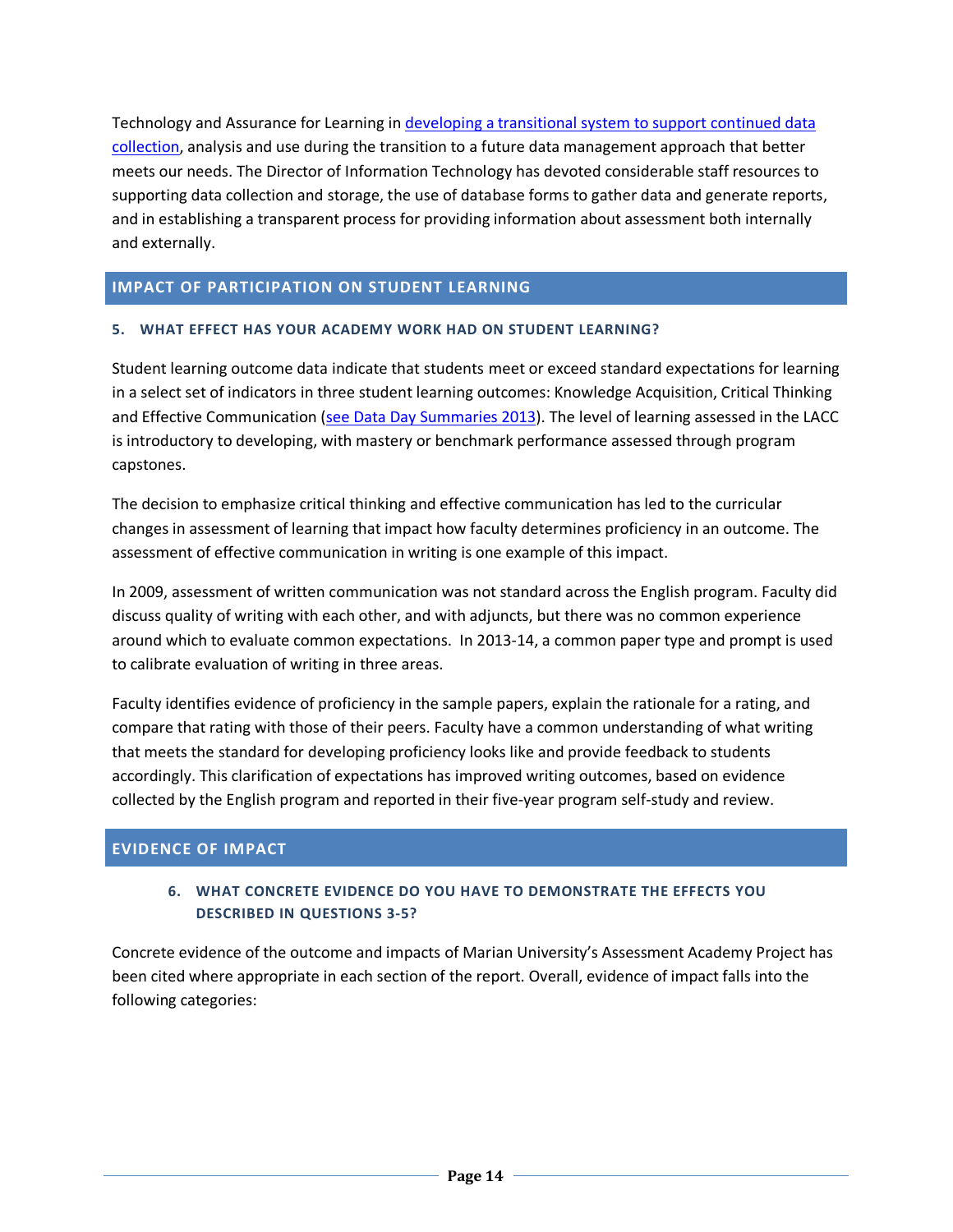Technology and Assurance for Learning i[n developing a transitional system to support continued data](http://tinyurl.com/DCTransistion13)  [collection,](http://tinyurl.com/DCTransistion13) analysis and use during the transition to a future data management approach that better meets our needs. The Director of Information Technology has devoted considerable staff resources to supporting data collection and storage, the use of database forms to gather data and generate reports, and in establishing a transparent process for providing information about assessment both internally and externally.

#### **IMPACT OF PARTICIPATION ON STUDENT LEARNING**

#### **5. WHAT EFFECT HAS YOUR ACADEMY WORK HAD ON STUDENT LEARNING?**

Student learning outcome data indicate that students meet or exceed standard expectations for learning in a select set of indicators in three student learning outcomes: Knowledge Acquisition, Critical Thinking and Effective Communication [\(see Data Day Summaries 2013\)](http://preview.tinyurl.com/DataDay2013). The level of learning assessed in the LACC is introductory to developing, with mastery or benchmark performance assessed through program capstones.

The decision to emphasize critical thinking and effective communication has led to the curricular changes in assessment of learning that impact how faculty determines proficiency in an outcome. The assessment of effective communication in writing is one example of this impact.

In 2009, assessment of written communication was not standard across the English program. Faculty did discuss quality of writing with each other, and with adjuncts, but there was no common experience around which to evaluate common expectations. In 2013-14, a common paper type and prompt is used to calibrate evaluation of writing in three areas.

Faculty identifies evidence of proficiency in the sample papers, explain the rationale for a rating, and compare that rating with those of their peers. Faculty have a common understanding of what writing that meets the standard for developing proficiency looks like and provide feedback to students accordingly. This clarification of expectations has improved writing outcomes, based on evidence collected by the English program and reported in their five-year program self-study and review.

#### **EVIDENCE OF IMPACT**

#### **6. WHAT CONCRETE EVIDENCE DO YOU HAVE TO DEMONSTRATE THE EFFECTS YOU DESCRIBED IN QUESTIONS 3-5?**

Concrete evidence of the outcome and impacts of Marian University's Assessment Academy Project has been cited where appropriate in each section of the report. Overall, evidence of impact falls into the following categories: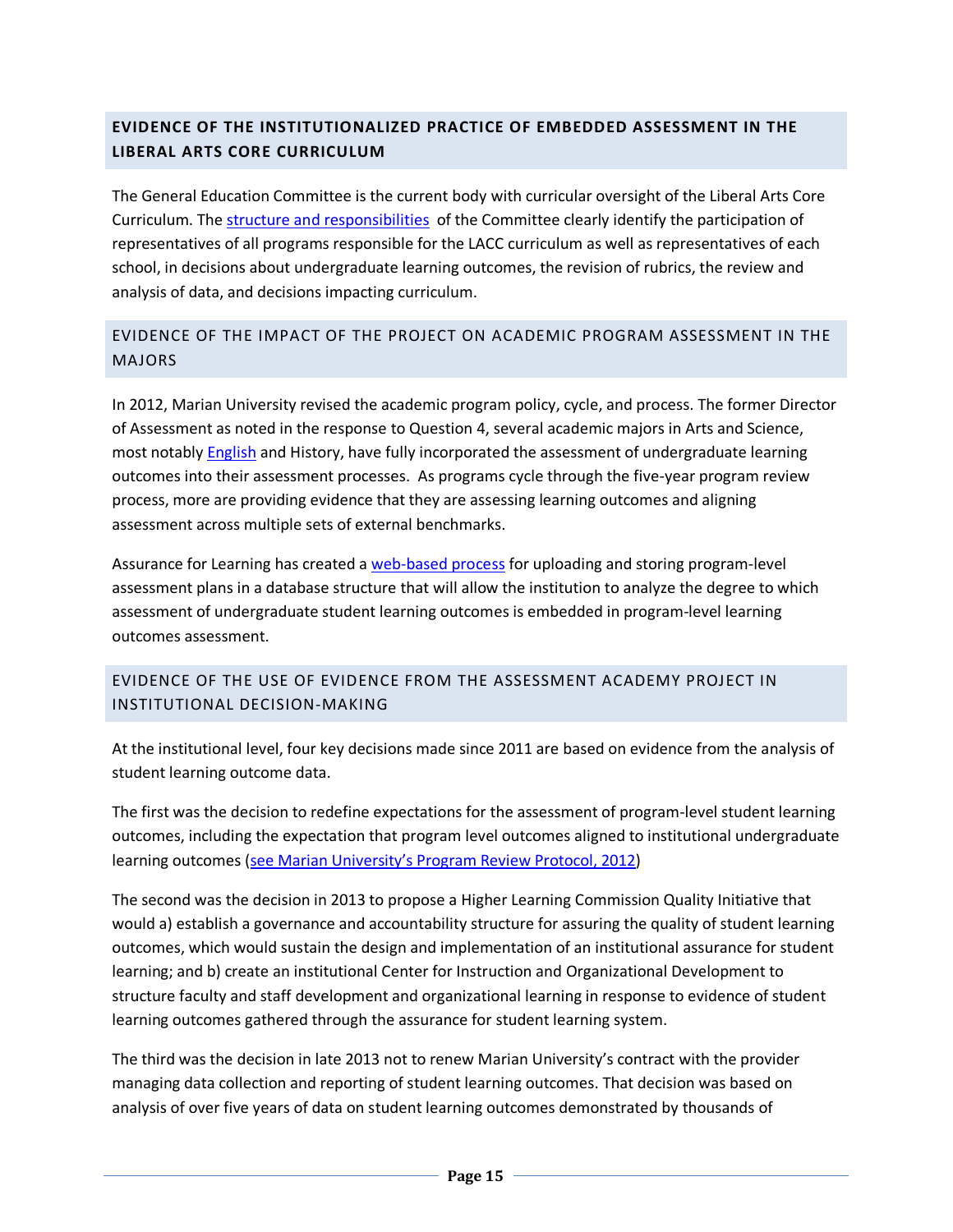#### **EVIDENCE OF THE INSTITUTIONALIZED PRACTICE OF EMBEDDED ASSESSMENT IN THE LIBERAL ARTS CORE CURRICULUM**

The General Education Committee is the current body with curricular oversight of the Liberal Arts Core Curriculum. Th[e structure and responsibilities](http://tinyurl.com/GEComPolicy) of the Committee clearly identify the participation of representatives of all programs responsible for the LACC curriculum as well as representatives of each school, in decisions about undergraduate learning outcomes, the revision of rubrics, the review and analysis of data, and decisions impacting curriculum.

#### EVIDENCE OF THE IMPACT OF THE PROJECT ON ACADEMIC PROGRAM ASSESSMENT IN THE MAJORS

In 2012, Marian University revised the academic program policy, cycle, and process. The former Director of Assessment as noted in the response to Question 4, several academic majors in Arts and Science, most notably **English** and History, have fully incorporated the assessment of undergraduate learning outcomes into their assessment processes. As programs cycle through the five-year program review process, more are providing evidence that they are assessing learning outcomes and aligning assessment across multiple sets of external benchmarks.

Assurance for Learning has created a [web-based process](http://tinyurl.com/ProgramAssmt) for uploading and storing program-level assessment plans in a database structure that will allow the institution to analyze the degree to which assessment of undergraduate student learning outcomes is embedded in program-level learning outcomes assessment.

#### EVIDENCE OF THE USE OF EVIDENCE FROM THE ASSESSMENT ACADEMY PROJECT IN INSTITUTIONAL DECISION-MAKING

At the institutional level, four key decisions made since 2011 are based on evidence from the analysis of student learning outcome data.

The first was the decision to redefine expectations for the assessment of program-level student learning outcomes, including the expectation that program level outcomes aligned to institutional undergraduate learning outcomes [\(see Marian University's Program Review Protocol, 2012\)](http://tinyurl.com/UGPR12)

The second was the decision in 2013 to propose a Higher Learning Commission Quality Initiative that would a) establish a governance and accountability structure for assuring the quality of student learning outcomes, which would sustain the design and implementation of an institutional assurance for student learning; and b) create an institutional Center for Instruction and Organizational Development to structure faculty and staff development and organizational learning in response to evidence of student learning outcomes gathered through the assurance for student learning system.

The third was the decision in late 2013 not to renew Marian University's contract with the provider managing data collection and reporting of student learning outcomes. That decision was based on analysis of over five years of data on student learning outcomes demonstrated by thousands of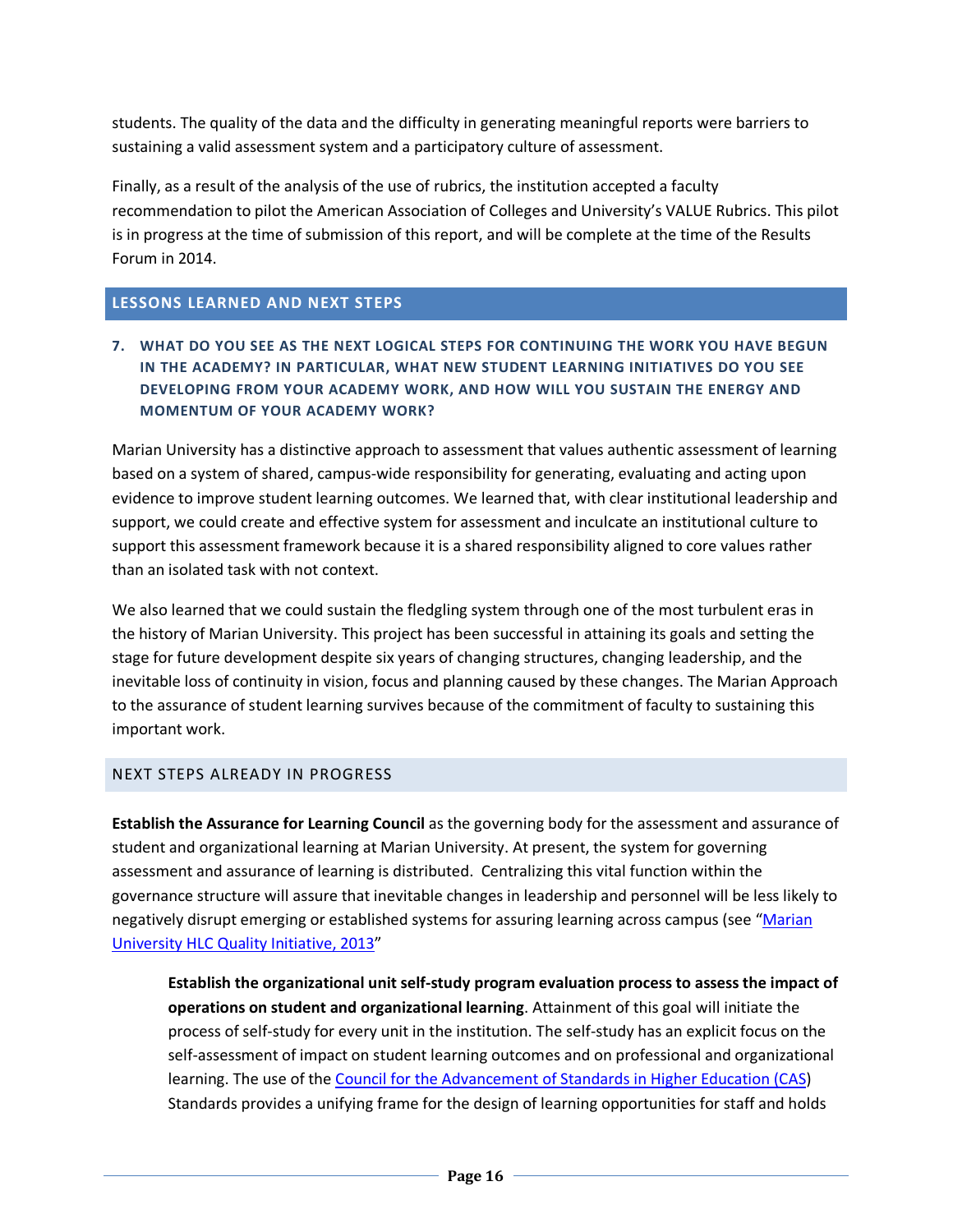students. The quality of the data and the difficulty in generating meaningful reports were barriers to sustaining a valid assessment system and a participatory culture of assessment.

Finally, as a result of the analysis of the use of rubrics, the institution accepted a faculty recommendation to pilot the American Association of Colleges and University's VALUE Rubrics. This pilot is in progress at the time of submission of this report, and will be complete at the time of the Results Forum in 2014.

#### **LESSONS LEARNED AND NEXT STEPS**

#### **7. WHAT DO YOU SEE AS THE NEXT LOGICAL STEPS FOR CONTINUING THE WORK YOU HAVE BEGUN IN THE ACADEMY? IN PARTICULAR, WHAT NEW STUDENT LEARNING INITIATIVES DO YOU SEE DEVELOPING FROM YOUR ACADEMY WORK, AND HOW WILL YOU SUSTAIN THE ENERGY AND MOMENTUM OF YOUR ACADEMY WORK?**

Marian University has a distinctive approach to assessment that values authentic assessment of learning based on a system of shared, campus-wide responsibility for generating, evaluating and acting upon evidence to improve student learning outcomes. We learned that, with clear institutional leadership and support, we could create and effective system for assessment and inculcate an institutional culture to support this assessment framework because it is a shared responsibility aligned to core values rather than an isolated task with not context.

We also learned that we could sustain the fledgling system through one of the most turbulent eras in the history of Marian University. This project has been successful in attaining its goals and setting the stage for future development despite six years of changing structures, changing leadership, and the inevitable loss of continuity in vision, focus and planning caused by these changes. The Marian Approach to the assurance of student learning survives because of the commitment of faculty to sustaining this important work.

#### NEXT STEPS ALREADY IN PROGRESS

**Establish the Assurance for Learning Council** as the governing body for the assessment and assurance of student and organizational learning at Marian University. At present, the system for governing assessment and assurance of learning is distributed. Centralizing this vital function within the governance structure will assure that inevitable changes in leadership and personnel will be less likely to negatively disrupt emerging or established systems for assuring learning across campus (see ["Marian](http://tinyurl.com/QIP2013)  University HLC [Quality Initiative, 2013"](http://tinyurl.com/QIP2013)

**Establish the organizational unit self-study program evaluation process to assess the impact of operations on student and organizational learning**. Attainment of this goal will initiate the process of self-study for every unit in the institution. The self-study has an explicit focus on the self-assessment of impact on student learning outcomes and on professional and organizational learning. The use of the [Council for the Advancement of Standards in Higher Education \(CAS\)](http://www.cas.edu/) Standards provides a unifying frame for the design of learning opportunities for staff and holds